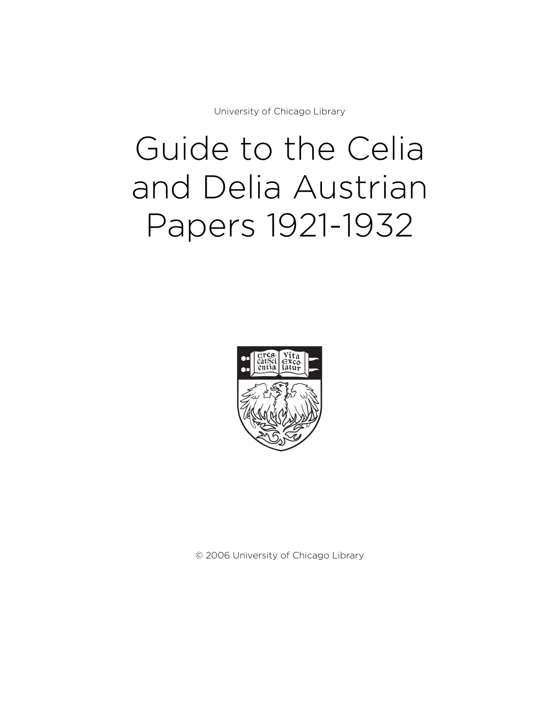University of Chicago Library

# Guide to the Celia and Delia Austrian Papers 1921-1932



© 2006 University of Chicago Library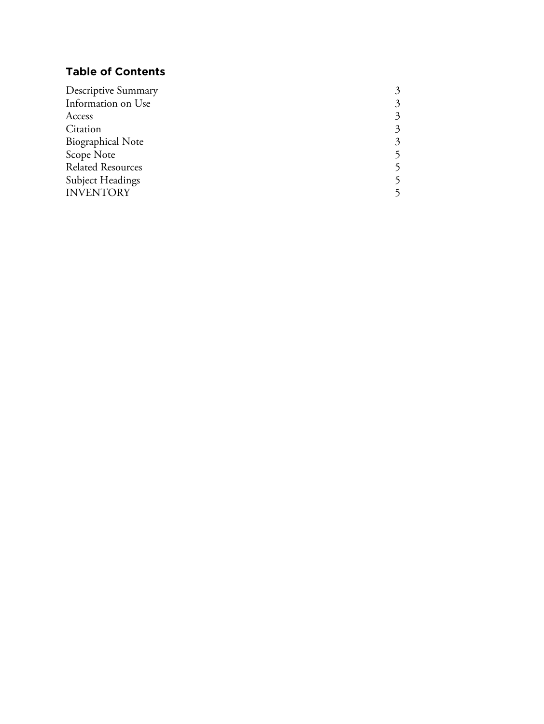## **Table of Contents**

| <b>Descriptive Summary</b> |   |
|----------------------------|---|
| Information on Use         | 3 |
| Access                     | 3 |
| Citation                   |   |
| <b>Biographical Note</b>   | 3 |
| Scope Note                 |   |
| <b>Related Resources</b>   |   |
| Subject Headings           |   |
| <b>INVENTORY</b>           |   |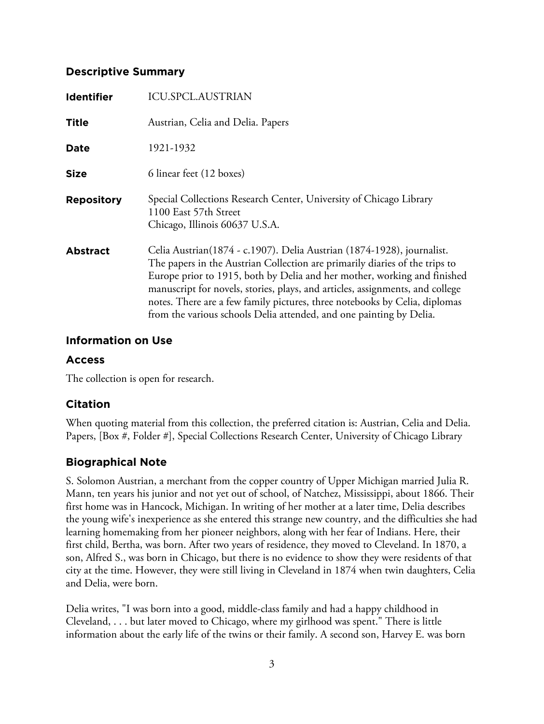## **Descriptive Summary**

| <b>Identifier</b> | ICU.SPCL.AUSTRIAN                                                                                                                                                                                                                                                                                                                                                                                                                                                       |
|-------------------|-------------------------------------------------------------------------------------------------------------------------------------------------------------------------------------------------------------------------------------------------------------------------------------------------------------------------------------------------------------------------------------------------------------------------------------------------------------------------|
| <b>Title</b>      | Austrian, Celia and Delia. Papers                                                                                                                                                                                                                                                                                                                                                                                                                                       |
| Date              | 1921-1932                                                                                                                                                                                                                                                                                                                                                                                                                                                               |
| <b>Size</b>       | 6 linear feet (12 boxes)                                                                                                                                                                                                                                                                                                                                                                                                                                                |
| <b>Repository</b> | Special Collections Research Center, University of Chicago Library<br>1100 East 57th Street<br>Chicago, Illinois 60637 U.S.A.                                                                                                                                                                                                                                                                                                                                           |
| <b>Abstract</b>   | Celia Austrian(1874 - c.1907). Delia Austrian (1874-1928), journalist.<br>The papers in the Austrian Collection are primarily diaries of the trips to<br>Europe prior to 1915, both by Delia and her mother, working and finished<br>manuscript for novels, stories, plays, and articles, assignments, and college<br>notes. There are a few family pictures, three notebooks by Celia, diplomas<br>from the various schools Delia attended, and one painting by Delia. |

## **Information on Use**

## **Access**

The collection is open for research.

## **Citation**

When quoting material from this collection, the preferred citation is: Austrian, Celia and Delia. Papers, [Box #, Folder #], Special Collections Research Center, University of Chicago Library

## **Biographical Note**

S. Solomon Austrian, a merchant from the copper country of Upper Michigan married Julia R. Mann, ten years his junior and not yet out of school, of Natchez, Mississippi, about 1866. Their first home was in Hancock, Michigan. In writing of her mother at a later time, Delia describes the young wife's inexperience as she entered this strange new country, and the difficulties she had learning homemaking from her pioneer neighbors, along with her fear of Indians. Here, their first child, Bertha, was born. After two years of residence, they moved to Cleveland. In 1870, a son, Alfred S., was born in Chicago, but there is no evidence to show they were residents of that city at the time. However, they were still living in Cleveland in 1874 when twin daughters, Celia and Delia, were born.

Delia writes, "I was born into a good, middle-class family and had a happy childhood in Cleveland, . . . but later moved to Chicago, where my girlhood was spent." There is little information about the early life of the twins or their family. A second son, Harvey E. was born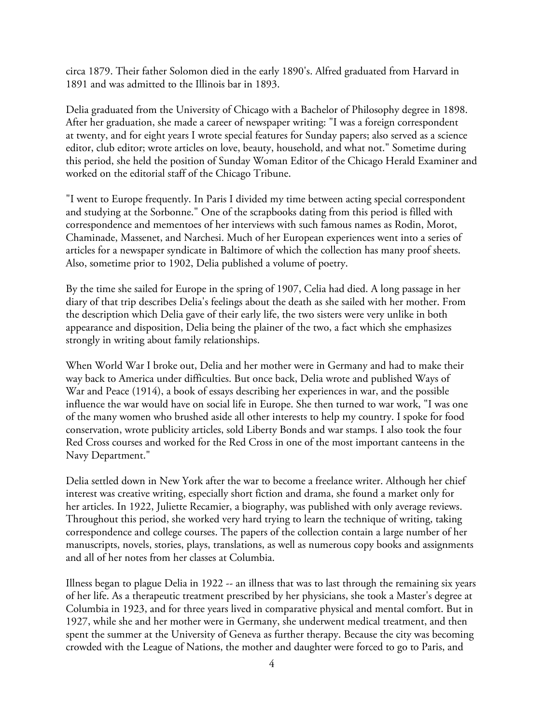circa 1879. Their father Solomon died in the early 1890's. Alfred graduated from Harvard in 1891 and was admitted to the Illinois bar in 1893.

Delia graduated from the University of Chicago with a Bachelor of Philosophy degree in 1898. After her graduation, she made a career of newspaper writing: "I was a foreign correspondent at twenty, and for eight years I wrote special features for Sunday papers; also served as a science editor, club editor; wrote articles on love, beauty, household, and what not." Sometime during this period, she held the position of Sunday Woman Editor of the Chicago Herald Examiner and worked on the editorial staff of the Chicago Tribune.

"I went to Europe frequently. In Paris I divided my time between acting special correspondent and studying at the Sorbonne." One of the scrapbooks dating from this period is filled with correspondence and mementoes of her interviews with such famous names as Rodin, Morot, Chaminade, Massenet, and Narchesi. Much of her European experiences went into a series of articles for a newspaper syndicate in Baltimore of which the collection has many proof sheets. Also, sometime prior to 1902, Delia published a volume of poetry.

By the time she sailed for Europe in the spring of 1907, Celia had died. A long passage in her diary of that trip describes Delia's feelings about the death as she sailed with her mother. From the description which Delia gave of their early life, the two sisters were very unlike in both appearance and disposition, Delia being the plainer of the two, a fact which she emphasizes strongly in writing about family relationships.

When World War I broke out, Delia and her mother were in Germany and had to make their way back to America under difficulties. But once back, Delia wrote and published Ways of War and Peace (1914), a book of essays describing her experiences in war, and the possible influence the war would have on social life in Europe. She then turned to war work, "I was one of the many women who brushed aside all other interests to help my country. I spoke for food conservation, wrote publicity articles, sold Liberty Bonds and war stamps. I also took the four Red Cross courses and worked for the Red Cross in one of the most important canteens in the Navy Department."

Delia settled down in New York after the war to become a freelance writer. Although her chief interest was creative writing, especially short fiction and drama, she found a market only for her articles. In 1922, Juliette Recamier, a biography, was published with only average reviews. Throughout this period, she worked very hard trying to learn the technique of writing, taking correspondence and college courses. The papers of the collection contain a large number of her manuscripts, novels, stories, plays, translations, as well as numerous copy books and assignments and all of her notes from her classes at Columbia.

Illness began to plague Delia in 1922 -- an illness that was to last through the remaining six years of her life. As a therapeutic treatment prescribed by her physicians, she took a Master's degree at Columbia in 1923, and for three years lived in comparative physical and mental comfort. But in 1927, while she and her mother were in Germany, she underwent medical treatment, and then spent the summer at the University of Geneva as further therapy. Because the city was becoming crowded with the League of Nations, the mother and daughter were forced to go to Paris, and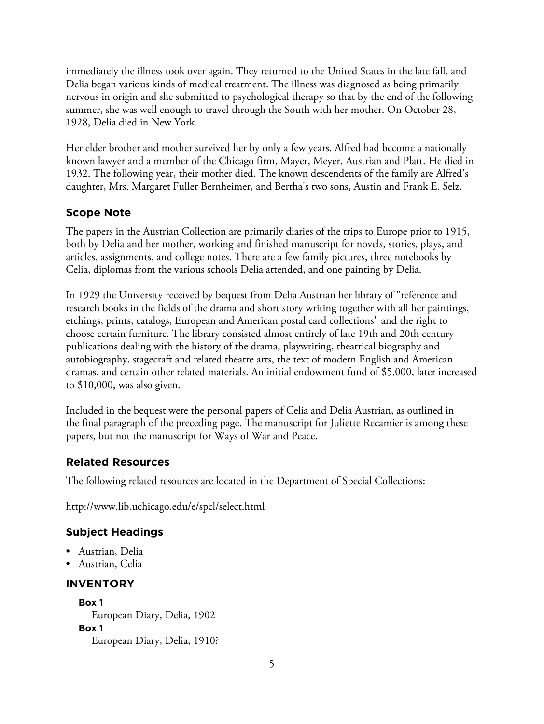immediately the illness took over again. They returned to the United States in the late fall, and Delia began various kinds of medical treatment. The illness was diagnosed as being primarily nervous in origin and she submitted to psychological therapy so that by the end of the following summer, she was well enough to travel through the South with her mother. On October 28, 1928, Delia died in New York.

Her elder brother and mother survived her by only a few years. Alfred had become a nationally known lawyer and a member of the Chicago firm, Mayer, Meyer, Austrian and Platt. He died in 1932. The following year, their mother died. The known descendents of the family are Alfred's daughter, Mrs. Margaret Fuller Bernheimer, and Bertha's two sons, Austin and Frank E. Selz.

## **Scope Note**

The papers in the Austrian Collection are primarily diaries of the trips to Europe prior to 1915, both by Delia and her mother, working and finished manuscript for novels, stories, plays, and articles, assignments, and college notes. There are a few family pictures, three notebooks by Celia, diplomas from the various schools Delia attended, and one painting by Delia.

In 1929 the University received by bequest from Delia Austrian her library of "reference and research books in the fields of the drama and short story writing together with all her paintings, etchings, prints, catalogs, European and American postal card collections" and the right to choose certain furniture. The library consisted almost entirely of late 19th and 20th century publications dealing with the history of the drama, playwriting, theatrical biography and autobiography, stagecraft and related theatre arts, the text of modern English and American dramas, and certain other related materials. An initial endowment fund of \$5,000, later increased to \$10,000, was also given.

Included in the bequest were the personal papers of Celia and Delia Austrian, as outlined in the final paragraph of the preceding page. The manuscript for Juliette Recamier is among these papers, but not the manuscript for Ways of War and Peace.

## **Related Resources**

The following related resources are located in the Department of Special Collections:

http://www.lib.uchicago.edu/e/spcl/select.html

## **Subject Headings**

- Austrian, Delia
- Austrian, Celia

## **INVENTORY**

**Box 1** European Diary, Delia, 1902 **Box 1** European Diary, Delia, 1910?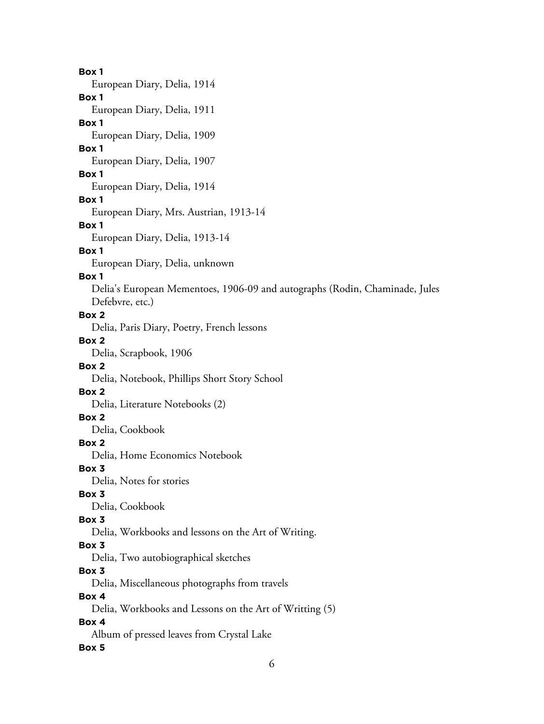## 6 **Box 1** European Diary, Delia, 1914 **Box 1** European Diary, Delia, 1911 **Box 1** European Diary, Delia, 1909 **Box 1** European Diary, Delia, 1907 **Box 1** European Diary, Delia, 1914 **Box 1** European Diary, Mrs. Austrian, 1913-14 **Box 1** European Diary, Delia, 1913-14 **Box 1** European Diary, Delia, unknown **Box 1** Delia's European Mementoes, 1906-09 and autographs (Rodin, Chaminade, Jules Defebvre, etc.) **Box 2** Delia, Paris Diary, Poetry, French lessons **Box 2** Delia, Scrapbook, 1906 **Box 2** Delia, Notebook, Phillips Short Story School **Box 2** Delia, Literature Notebooks (2) **Box 2** Delia, Cookbook **Box 2** Delia, Home Economics Notebook **Box 3** Delia, Notes for stories **Box 3** Delia, Cookbook **Box 3** Delia, Workbooks and lessons on the Art of Writing. **Box 3** Delia, Two autobiographical sketches **Box 3** Delia, Miscellaneous photographs from travels **Box 4** Delia, Workbooks and Lessons on the Art of Writting (5) **Box 4** Album of pressed leaves from Crystal Lake **Box 5**